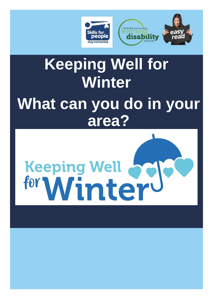

## **Keeping Well for Winter What can you do in your area?**

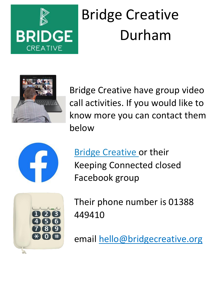

# Bridge Creative Durham



Bridge Creative have group video call activities. If you would like to know more you can contact them below



**[Bridge Creative or](http://www.facebook.com/BridgeCreativeCIC) their** Keeping Connected closed Facebook group



Their phone number is 01388 449410

email hello@bridgecreative.org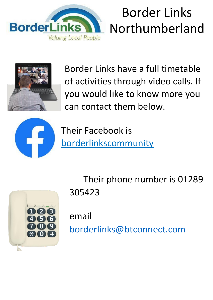

## Border Links Northumberland



Border Links have a full timetable of activities through video calls. If you would like to know more you can contact them below.



Their Facebook is [borderlinkscommunity](https://www.facebook.com/borderlinkscommunity/)





email [borderlinks@btconnect.com](mailto:borderlinks@btconnect.com)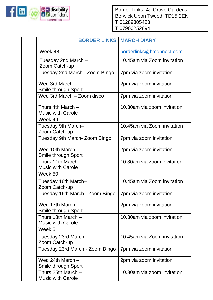

Border Links, 4a Grove Gardens, Berwick Upon Tweed, TD15 2EN T:01289305423 T:07900252894

| <b>BORDER LINKS   MARCH DIARY</b>                |                             |
|--------------------------------------------------|-----------------------------|
| Week 48                                          | borderlinks@btconnect.com   |
| Tuesday 2nd March -<br>Zoom Catch-up             | 10.45am via Zoom invitation |
| Tuesday 2nd March - Zoom Bingo                   | 7pm via zoom invitation     |
| Wed 3rd March -<br><b>Smile through Sport</b>    | 2pm via zoom invitation     |
| Wed 3rd March - Zoom disco                       | 7pm via zoom invitation     |
| Thurs 4th March -<br><b>Music with Carole</b>    | 10.30am via zoom invitation |
| Week 49                                          |                             |
| Tuesday 9th March-<br>Zoom Catch-up              | 10.45am via Zoom invitation |
| Tuesday 9th March- Zoom Bingo                    | 7pm via zoom invitation     |
| Wed 10th March -<br><b>Smile through Sport</b>   | 2pm via zoom invitation     |
| Thurs 11th March -<br><b>Music with Carole</b>   | 10.30am via zoom invitation |
| Week 50                                          |                             |
| Tuesday 16th March-<br>Zoom Catch-up             | 10.45am via Zoom invitation |
| Tuesday 16th March - Zoom Bingo                  | 7pm via zoom invitation     |
| Wed 17th March -<br>Smile through Sport          | 2pm via zoom invitation     |
| Thurs 18th March -<br><b>Music with Carole</b>   | 10.30am via zoom invitation |
| Week 51                                          |                             |
| Tuesday 23rd March-<br>Zoom Catch-up             | 10.45am via Zoom invitation |
| Tuesday 23rd March - Zoom Bingo                  | 7pm via zoom invitation     |
| Wed 24th March $-$<br>Smile through Sport        | 2pm via zoom invitation     |
| Thurs 25th March $-$<br><b>Music with Carole</b> | 10.30am via zoom invitation |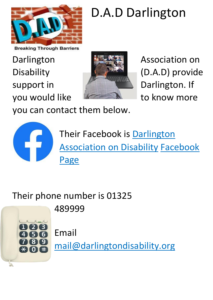

#### D.A.D Darlington

**Breaking Through Barriers** 

Darlington **Property Association on** support in **The Context of Context Support in Allen** Darlington. If you would like the state to know more



Disability **Disability** (D.A.D) provide

you can contact them below.



[Their Facebook is Darlington](https://www.facebook.com/Darlington-Association-on-Disability-1584634181803620/) **[Association on Disability](https://www.facebook.com/Darlington-Association-on-Disability-1584634181803620/) Facebook** [Page](https://www.facebook.com/Darlington-Association-on-Disability-1584634181803620/)

Their phone number is 01325 489999



Email

mail@darlingtondisability.org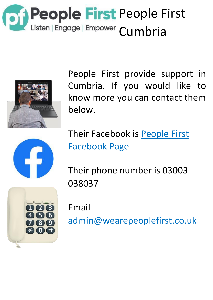



People First provide support in Cumbria. If you would like to know more you can contact them below.



[Their Facebook is People First](https://www.facebook.com/PFIAltd/) [Facebook Page](https://www.facebook.com/PFIAltd/)

Their phone number is 03003 038037



Email admin@wearepeoplefirst.co.uk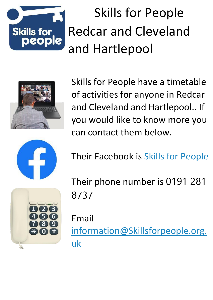

## Skills for People Redcar and Cleveland and Hartlepool



Skills for People have a timetable of activities for anyone in Redcar and Cleveland and Hartlepool.. If you would like to know more you can contact them below.



Their Facebook is [Skills for People](https://www.facebook.com/skillsforpeople/)

Their phone number is 0191 281 8737

Email information@Skillsforpeople.org. uk

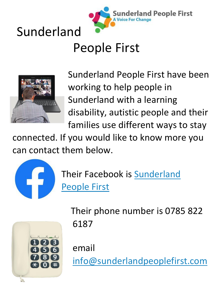



## People First



Sunderland People First have been working to help people in Sunderland with a learning disability, autistic people and their families use different ways to stay

connected. If you would like to know more you can contact them below.



[Their Facebook is Sunderland](https://www.facebook.com/pages/category/Local-Business/Sunderland-People-First-Co-operative-CIC-1439712769627681/) [People First](https://www.facebook.com/pages/category/Local-Business/Sunderland-People-First-Co-operative-CIC-1439712769627681/)



Their phone number is 0785 822 6187

email

info@sunderlandpeoplefirst.com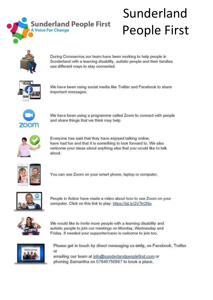

## Sunderland People First



During Coronavirus our team have been working to help people in Sunderland with a learning disability, autistic people and their families use different ways to stay connected.



We have been using social media like Twitter and Facebook to share important messages.



We have been using a programme called Zoom to connect with people and share things that we think may help.



Everyone has said that they have enjoyed talking online, have had fun and that it is something to look forward to. We also welcome your ideas about anything else that you would like to talk about.



You can use Zoom on your smart phone, laptop or computer.



People in Action have made a video about how to use Zoom on your computer. Click on this link to play: https://bit.ly/2V7hONo



We would like to invite more people with a learning disability and autistic people to join our meetings on Monday, Wednesday and Friday. If needed your supporter/carer is welcome to join too.



Please get in touch by direct messaging us only, on Facebook, Twitter or emailing our team at info@sunderlandpeoplefirst.com or phoning Samantha on 07845750887 to book a place.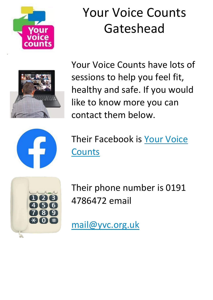

## Your Voice Counts Gateshead



Your Voice Counts have lots of sessions to help you feel fit, healthy and safe. If you would like to know more you can contact them below.



[Their Facebook is Your Voice](https://www.facebook.com/YourVoiceCountsCommunity) **[Counts](https://www.facebook.com/YourVoiceCountsCommunity)** 



Their phone number is 0191 4786472 email

mail@yvc.org.uk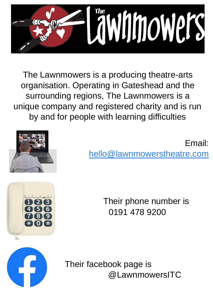

The Lawnmowers is a producing theatre-arts organisation. Operating in Gateshead and the surrounding regions, The Lawnmowers is a unique company and registered charity and is run by and for people with learning difficulties



#### Email: hello@lawnmowerstheatre.com

Their phone number is 0191 478 9200



Their facebook page is @LawnmowersITC



 $\Omega$